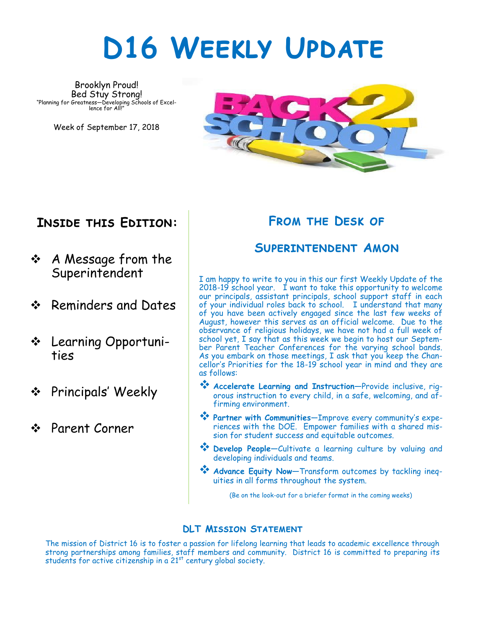# **D16 Weekly Update**

Brooklyn Proud! Bed Stuy Strong! "Planning for Greatness—Developing Schools of Excel-lence for All!"

Week of September 17, 2018



### **Inside this Edition:**

- A Message from the Superintendent
- ❖ Reminders and Dates
- Learning Opportunities
- **❖** Principals' Weekly
- Parent Corner

### **From the Desk of**

#### **Superintendent Amon**

I am happy to write to you in this our first Weekly Update of the 2018-19 school year. I want to take this opportunity to welcome our principals, assistant principals, school support staff in each of your individual roles back to school. I understand that many of you have been actively engaged since the last few weeks of August, however this serves as an official welcome. Due to the observance of religious holidays, we have not had a full week of school yet, I say that as this week we begin to host our September Parent Teacher Conferences for the varying school bands. As you embark on those meetings, I ask that you keep the Chancellor's Priorities for the 18-19 school year in mind and they are as follows:

- **Accelerate Learning and Instruction—**Provide inclusive, rigorous instruction to every child, in a safe, welcoming, and affirming environment.
- **Partner with Communities**—Improve every community's experiences with the DOE. Empower families with a shared mission for student success and equitable outcomes.
- **Develop People—**Cultivate a learning culture by valuing and developing individuals and teams.
- **Advance Equity Now—**Transform outcomes by tackling inequities in all forms throughout the system.

(Be on the look-out for a briefer format in the coming weeks)

#### **DLT Mission Statement**

The mission of District 16 is to foster a passion for lifelong learning that leads to academic excellence through strong partnerships among families, staff members and community. District 16 is committed to preparing its students for active citizenship in a 21<sup>st</sup> century global society.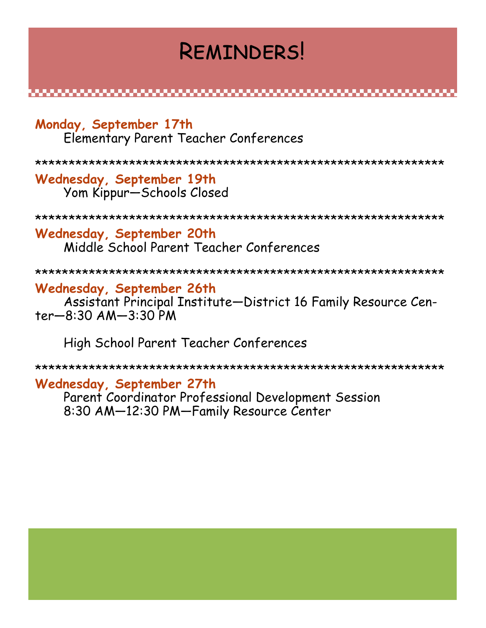## **REMINDERS!**

#### Monday, September 17th Elementary Parent Teacher Conferences

Wednesday, September 19th Yom Kippur-Schools Closed

#### Wednesday, September 20th Middle School Parent Teacher Conferences

#### Wednesday, September 26th

Assistant Principal Institute-District 16 Family Resource Cen $ter - 8:30$   $AM - 3:30$  PM

High School Parent Teacher Conferences

#### Wednesday, September 27th

Parent Coordinator Professional Development Session 8:30 AM-12:30 PM-Family Resource Center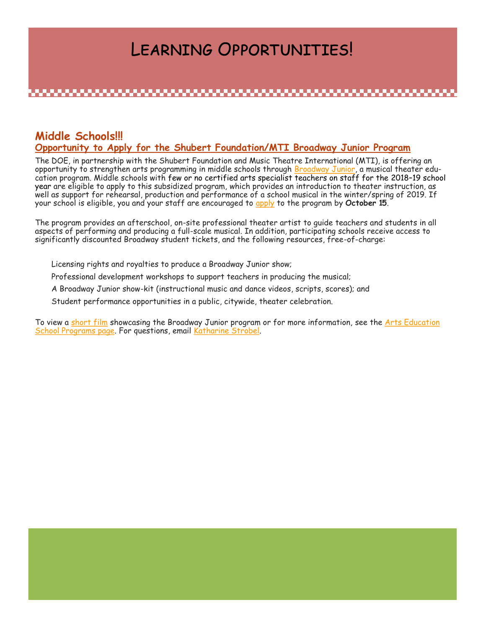## Learning Opportunities!

#### **Middle Schools!!! Opportunity to Apply for the Shubert Foundation/MTI Broadway Junior Program**

The DOE, in partnership with the Shubert Foundation and Music Theatre International (MTI), is offering an opportunity to strengthen arts programming in middle schools through [Broadway Junior,](https://na01.safelinks.protection.outlook.com/?url=https%3A%2F%2Fcustom.cvent.com%2FFCB47A05CB3E46BDA68FCA69DCE539AE%2Ffiles%2Fd5720b9910d644489b9668d02b0f1c42.pdf&data=02%7C01%7C%7C41504b75950d46e769b508d6190eaee3%7C18492cb7ef45456185710c42e5f7ac07%7C0%7C0%7) a musical theater education program. Middle schools with few or no certified arts specialist teachers on staff for the 2018–19 school year are eligible to apply to this subsidized program, which provides an introduction to theater instruction, as well as support for rehearsal, production and performance of a school musical in the winter/spring of 2019. If your school is eligible, you and your staff are encouraged to [apply](https://na01.safelinks.protection.outlook.com/?url=https%3A%2F%2Fwww.cvent.com%2Fsurveys%2FWelcome.aspx%3Fs%3Dbad1ac9a-fd4d-423c-8e23-5bd15b475bd4&data=02%7C01%7C%7C41504b75950d46e769b508d6190eaee3%7C18492cb7ef45456185710c42e5f7ac07%7C0%7C0%7C6367239486747947) to the program by **October 15**.

The program provides an afterschool, on-site professional theater artist to guide teachers and students in all aspects of performing and producing a full-scale musical. In addition, participating schools receive access to significantly discounted Broadway student tickets, and the following resources, free-of-charge:

Licensing rights and royalties to produce a Broadway Junior show;

Professional development workshops to support teachers in producing the musical;

A Broadway Junior show-kit (instructional music and dance videos, scripts, scores); and

Student performance opportunities in a public, citywide, theater celebration.

To view a [short film](https://na01.safelinks.protection.outlook.com/?url=https%3A%2F%2Fvimeo.com%2F106201758&data=02%7C01%7C%7C41504b75950d46e769b508d6190eaee3%7C18492cb7ef45456185710c42e5f7ac07%7C0%7C0%7C636723948674794731&sdata=hN9dyomZDy%2FxymKISSs0%2BAmd6gctjjc4tu1KK%2F3MSB0%3) showcasing the Broadway Junior program or for more information, see the Arts Education [School Programs page.](https://na01.safelinks.protection.outlook.com/?url=https%3A%2F%2Finfohub.nyced.org%2Fresources%2Fschool-programs%2Farts-education-school-programs%2Fshubert-mti&data=02%7C01%7C%7C41504b75950d46e769b508d6190eaee3%7C18492cb7ef45456185710c42e5f7ac07%7C0%7C0%7C636) For questions, email [Katharine Strobel.](mailto:KStrobel@schools.nyc.gov)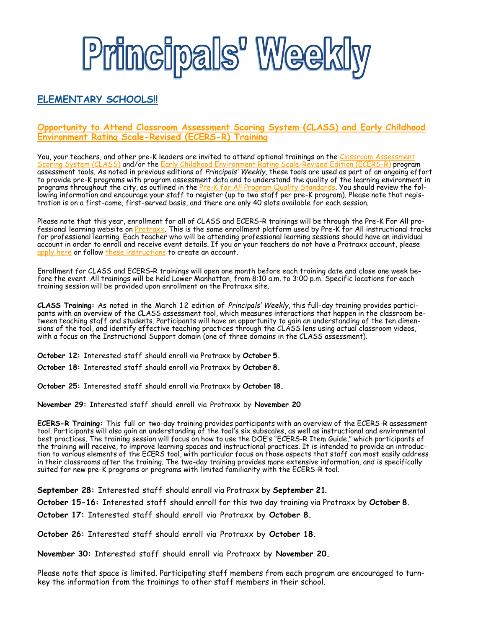

#### **ELEMENTARY SCHOOLS!!**

#### **Opportunity to Attend Classroom Assessment Scoring System (CLASS) and Early Childhood Environment Rating Scale-Revised (ECERS-R) Training**

You, your teachers, and other pre-K leaders are invited to attend optional trainings on the <u>[C](http://schools.nyc.gov/Academics/EarlyChildhood/educators/ProgramAssessments.htm)lassroom Assessment</u> [Scoring System \(CLASS\)](https://na01.safelinks.protection.outlook.com/?url=https%3A%2F%2Finfohub.nyced.org%2Fdocs%2Fdefault-source%2Fdefault-document-library%2Ffy17-class-faqs-for-educators.pdf&data=02%7C01%7C%7C41504b75950d46e769b508d6190eaee3%7C18492cb7ef45456185710c42e5f7ac07%7C0) and/or the[Early Childhood Environment Rating Scale](https://na01.safelinks.protection.outlook.com/?url=https%3A%2F%2Finfohub.nyced.org%2Fdocs%2Fdefault-source%2Fdefault-document-library%2Ffy18-ecers-r-faqs-for-educators.pdf&data=02%7C01%7C%7C41504b75950d46e769b508d6190eaee3%7C18492cb7ef45456185710c42e5f7ac07%7)-Revised Edition (ECERS-R) program assessment tools. As noted in previous editions of *Principals' Weekly*, these tools are used as part of an ongoing effort to provide pre-K programs with program assessment data and to understand the quality of the learning environment in programs throughout the city, as outlined in the <u>[P](http://schools.nyc.gov/NR/rdonlyres/175F24FE-E23E-4B93-BF6C-0C4EF35663D2/0/FINALNYCPreKforAllQualityStandardsFullText10_20_15.pdf)re-K for All Program Quality Standards</u>. You should review the following information and encourage your staff to register (up to two staff per pre-K program). Please note that registration is on a first-come, first-served basis, and there are only 40 slots available for each session.

Please note that this year, enrollment for all of CLASS and ECERS-R trainings will be through the Pre-K For All pro-fessional learning website on [Protraxx.](https://na01.safelinks.protection.outlook.com/?url=https%3A%2F%2Fwww.protraxx.com%2FLogin.aspx&data=02%7C01%7C%7C41504b75950d46e769b508d6190eaee3%7C18492cb7ef45456185710c42e5f7ac07%7C0%7C0%7C636723948675263484&sdata=x7QwbYVc0ZlGbIcs5BfFrjLxNzWyZsk0I98UbqbdDMQ) This is the same enrollment platform used by Pre-K for All instructional tracks for professional learning. Each teacher who will be attending professional learning sessions should have an individual account in order to enroll and receive event details. If you or your teachers do not have a Protraxx account, please [apply here](https://na01.safelinks.protection.outlook.com/?url=https%3A%2F%2Fwww.protraxx.com%2FScripts%2Fezcatalogny%2Fnew238user.aspx%3FCustomerID%3D238&data=02%7C01%7C%7C41504b75950d46e769b508d6190eaee3%7C18492cb7ef45456185710c42e5f7ac07%7C0%7C0%7C636723948675263484&s) or follow [these instructions](https://na01.safelinks.protection.outlook.com/?url=https%3A%2F%2Fwww.protraxx.com%2FUploads%2F238%2FProtraxx%2520FAQs.pdf&data=02%7C01%7C%7C41504b75950d46e769b508d6190eaee3%7C18492cb7ef45456185710c42e5f7ac07%7C0%7C0%7C636723948675263484&sdata=p6BACIoMAde%2BZ0) to create an account.

Enrollment for CLASS and ECERS-R trainings will open one month before each training date and close one week before the event. All trainings will be held Lower Manhattan, from 8:10 a.m. to 3:00 p.m. Specific locations for each training session will be provided upon enrollment on the Protraxx site.

**CLASS Training:** As noted in the March 1 2 edition of *Principals' Weekly*, this full-day training provides participants with an overview of the CLASS assessment tool, which measures interactions that happen in the classroom between teaching staff and students. Participants will have an opportunity to gain an understanding of the ten dimensions of the tool, and identify effective teaching practices through the CLASS lens using actual classroom videos, with a focus on the Instructional Support domain (one of three domains in the CLASS assessment).

**October 12:** Interested staff should [e](https://na01.safelinks.protection.outlook.com/?url=https%3A%2F%2Fwww.eventbrite.com%2Fe%2Fintroduction-to-the-class-tool-training-tickets-41499919376&data=02%7C01%7C%7C41504b75950d46e769b508d6190eaee3%7C18492cb7ef45456185710c42e5f7ac07%7C0%7C0%7C6367239486752)nroll via Protraxx by **October 5.**

**October 18:** Interested staff should [e](https://na01.safelinks.protection.outlook.com/?url=https%3A%2F%2Fwww.eventbrite.com%2Fe%2Fintroduction-to-the-class-tool-training-tickets-41499919376&data=02%7C01%7C%7C41504b75950d46e769b508d6190eaee3%7C18492cb7ef45456185710c42e5f7ac07%7C0%7C0%7C6367239486752)nroll via Protraxx by **October 8.**

**October 25:** Interested staff should [e](https://na01.safelinks.protection.outlook.com/?url=https%3A%2F%2Fwww.eventbrite.com%2Fe%2Fintroduction-to-the-class-tool-training-tickets-41499919376&data=02%7C01%7C%7C41504b75950d46e769b508d6190eaee3%7C18492cb7ef45456185710c42e5f7ac07%7C0%7C0%7C6367239486752)nroll via Protraxx by **October 18.**

**November 29:** Interested staff should [enroll](https://na01.safelinks.protection.outlook.com/?url=https%3A%2F%2Fwww.eventbrite.com%2Fe%2Fintroduction-to-the-ecers-r-tool-training-tickets-47311712606&data=02%7C01%7C%7C41504b75950d46e769b508d6190eaee3%7C18492cb7ef45456185710c42e5f7ac07%7C0%7C0%7C63672394867) via Protraxx by **November 20**

**ECERS-R Training:** This full or two-day training provides participants with an overview of the ECERS-R assessment tool. Participants will also gain an understanding of the tool's six subscales, as well as instructional and environmental best practices. The training session will focus on how to use the DOE's "ECERS-R Item Guide," which participants of the training will receive, to improve learning spaces and instructional practices. It is intended to provide an introduction to various elements of the ECERS tool, with particular focus on those aspects that staff can most easily address in their classrooms after the training. The two-day training provides more extensive information, and is specifically suited for new pre-K programs or programs with limited familiarity with the ECERS-R tool.

**September 28:** Interested staff should [en](https://na01.safelinks.protection.outlook.com/?url=https%3A%2F%2Fwww.eventbrite.com%2Fe%2Fintroduction-to-the-class-tool-training-tickets-41499919376&data=02%7C01%7C%7C41504b75950d46e769b508d6190eaee3%7C18492cb7ef45456185710c42e5f7ac07%7C0%7C0%7C6367239486754)roll via Protraxx by **September 21.**

**October 15-16:** Interested staff should [e](https://na01.safelinks.protection.outlook.com/?url=https%3A%2F%2Fwww.eventbrite.com%2Fe%2Fintroduction-to-the-ecers-r-tool-training-tickets-41504166078&data=02%7C01%7C%7C41504b75950d46e769b508d6190eaee3%7C18492cb7ef45456185710c42e5f7ac07%7C0%7C0%7C63672394867)nroll for this two day training via Protraxx by **October 8.**

**October 17:** Interested staff should [enroll](https://na01.safelinks.protection.outlook.com/?url=https%3A%2F%2Fwww.eventbrite.com%2Fe%2Fintroduction-to-the-ecers-r-tool-training-tickets-47311712606&data=02%7C01%7C%7C41504b75950d46e769b508d6190eaee3%7C18492cb7ef45456185710c42e5f7ac07%7C0%7C0%7C63672394867) via Protraxx by **October 8.**

**October 26:** Interested staff should [enroll](https://na01.safelinks.protection.outlook.com/?url=https%3A%2F%2Fwww.eventbrite.com%2Fe%2Fintroduction-to-the-ecers-r-tool-training-tickets-47311712606&data=02%7C01%7C%7C41504b75950d46e769b508d6190eaee3%7C18492cb7ef45456185710c42e5f7ac07%7C0%7C0%7C63672394867) via Protraxx by **October 18.**

**November 30:** Interested staff should [e](https://na01.safelinks.protection.outlook.com/?url=https%3A%2F%2Fwww.eventbrite.com%2Fe%2Fintroduction-to-the-ecers-r-tool-training-tickets-41504166078&data=02%7C01%7C%7C41504b75950d46e769b508d6190eaee3%7C18492cb7ef45456185710c42e5f7ac07%7C0%7C0%7C63672394867)[nroll](https://na01.safelinks.protection.outlook.com/?url=https%3A%2F%2Fwww.eventbrite.com%2Fe%2Fintroduction-to-the-ecers-r-tool-training-tickets-47311712606&data=02%7C01%7C%7C41504b75950d46e769b508d6190eaee3%7C18492cb7ef45456185710c42e5f7ac07%7C0%7C0%7C63672394867) via Protraxx by **November 20.**

Please note that space is limited. Participating staff members from each program are encouraged to turnkey the information from the trainings to other staff members in their school.